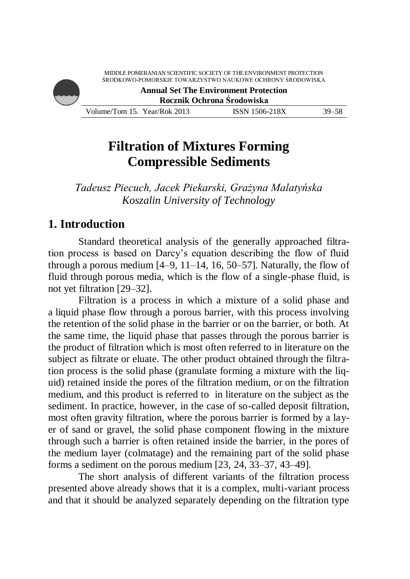

# **Filtration of Mixtures Forming Compressible Sediments**

*Tadeusz Piecuch, Jacek Piekarski, Grażyna Malatyńska Koszalin University of Technology*

### **1. Introduction**

Standard theoretical analysis of the generally approached filtration process is based on Darcy's equation describing the flow of fluid through a porous medium [4–9, 11–14, 16, 50–57]. Naturally, the flow of fluid through porous media, which is the flow of a single-phase fluid, is not yet filtration [29–32].

Filtration is a process in which a mixture of a solid phase and a liquid phase flow through a porous barrier, with this process involving the retention of the solid phase in the barrier or on the barrier, or both. At the same time, the liquid phase that passes through the porous barrier is the product of filtration which is most often referred to in literature on the subject as filtrate or eluate. The other product obtained through the filtration process is the solid phase (granulate forming a mixture with the liquid) retained inside the pores of the filtration medium, or on the filtration medium, and this product is referred to in literature on the subject as the sediment. In practice, however, in the case of so-called deposit filtration, most often gravity filtration, where the porous barrier is formed by a layer of sand or gravel, the solid phase component flowing in the mixture through such a barrier is often retained inside the barrier, in the pores of the medium layer (colmatage) and the remaining part of the solid phase forms a sediment on the porous medium [23, 24, 33–37, 43–49].

The short analysis of different variants of the filtration process presented above already shows that it is a complex, multi-variant process and that it should be analyzed separately depending on the filtration type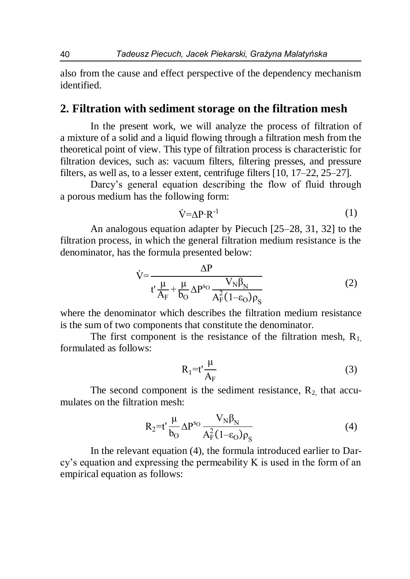also from the cause and effect perspective of the dependency mechanism identified.

#### **2. Filtration with sediment storage on the filtration mesh**

In the present work, we will analyze the process of filtration of a mixture of a solid and a liquid flowing through a filtration mesh from the theoretical point of view. This type of filtration process is characteristic for filtration devices, such as: vacuum filters, filtering presses, and pressure filters, as well as, to a lesser extent, centrifuge filters [10, 17–22, 25–27].

Darcy's general equation describing the flow of fluid through a porous medium has the following form:

$$
\dot{V} = \Delta P \cdot R^{-1} \tag{1}
$$

An analogous equation adapter by Piecuch [25–28, 31, 32] to the filtration process, in which the general filtration medium resistance is the denominator, has the formula presented below:

$$
\dot{V} = \frac{\Delta P}{t' \frac{\mu}{A_F} + \frac{\mu}{b_O} \Delta P^{s_O} \frac{V_N \beta_N}{A_F^2 (1 - \epsilon_O) \rho_S}}
$$
(2)

where the denominator which describes the filtration medium resistance is the sum of two components that constitute the denominator.

The first component is the resistance of the filtration mesh,  $R_1$ , formulated as follows:

$$
R_1 = t' \frac{\mu}{A_F} \tag{3}
$$

The second component is the sediment resistance,  $R_2$  that accumulates on the filtration mesh:

$$
R_2 = t' \frac{\mu}{b_O} \Delta P^{s_O} \frac{V_N \beta_N}{A_F^2 (1 - \varepsilon_O) \rho_S}
$$
 (4)

In the relevant equation (4), the formula introduced earlier to Darcy's equation and expressing the permeability K is used in the form of an empirical equation as follows: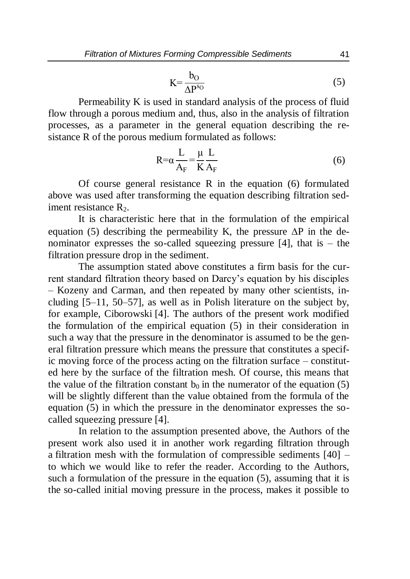$$
K = \frac{b_O}{\Delta P^{s_O}}
$$
 (5)

Permeability K is used in standard analysis of the process of fluid flow through a porous medium and, thus, also in the analysis of filtration processes, as a parameter in the general equation describing the resistance R of the porous medium formulated as follows:

$$
R = \alpha \frac{L}{A_F} = \frac{\mu}{K} \frac{L}{A_F}
$$
 (6)

Of course general resistance R in the equation (6) formulated above was used after transforming the equation describing filtration sediment resistance  $R_2$ .

It is characteristic here that in the formulation of the empirical equation (5) describing the permeability K, the pressure  $\Delta P$  in the denominator expresses the so-called squeezing pressure  $[4]$ , that is – the filtration pressure drop in the sediment.

The assumption stated above constitutes a firm basis for the current standard filtration theory based on Darcy's equation by his disciples – Kozeny and Carman, and then repeated by many other scientists, including [5–11, 50–57], as well as in Polish literature on the subject by, for example, Ciborowski [4]. The authors of the present work modified the formulation of the empirical equation (5) in their consideration in such a way that the pressure in the denominator is assumed to be the general filtration pressure which means the pressure that constitutes a specific moving force of the process acting on the filtration surface – constituted here by the surface of the filtration mesh. Of course, this means that the value of the filtration constant  $b_0$  in the numerator of the equation (5) will be slightly different than the value obtained from the formula of the equation (5) in which the pressure in the denominator expresses the socalled squeezing pressure [4].

In relation to the assumption presented above, the Authors of the present work also used it in another work regarding filtration through a filtration mesh with the formulation of compressible sediments [40] – to which we would like to refer the reader. According to the Authors, such a formulation of the pressure in the equation (5), assuming that it is the so-called initial moving pressure in the process, makes it possible to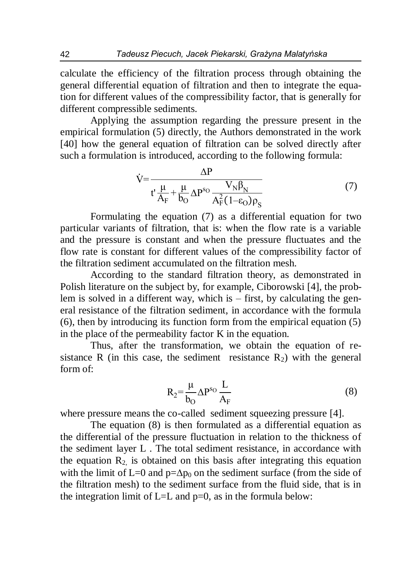calculate the efficiency of the filtration process through obtaining the general differential equation of filtration and then to integrate the equation for different values of the compressibility factor, that is generally for different compressible sediments.

Applying the assumption regarding the pressure present in the empirical formulation (5) directly, the Authors demonstrated in the work [40] how the general equation of filtration can be solved directly after such a formulation is introduced, according to the following formula:

$$
\dot{V} = \frac{\Delta P}{t' \frac{\mu}{A_F} + \frac{\mu}{b_O} \Delta P^{s_O} \frac{V_N \beta_N}{A_F^2 (1 - \epsilon_O) \rho_S}}
$$
(7)

Formulating the equation (7) as a differential equation for two particular variants of filtration, that is: when the flow rate is a variable and the pressure is constant and when the pressure fluctuates and the flow rate is constant for different values of the compressibility factor of the filtration sediment accumulated on the filtration mesh.

According to the standard filtration theory, as demonstrated in Polish literature on the subject by, for example, Ciborowski [4], the problem is solved in a different way, which is – first, by calculating the general resistance of the filtration sediment, in accordance with the formula (6), then by introducing its function form from the empirical equation (5) in the place of the permeability factor K in the equation.

Thus, after the transformation, we obtain the equation of resistance R (in this case, the sediment resistance  $R_2$ ) with the general form of:

$$
R_2 = \frac{\mu}{b_O} \Delta P^{s_O} \frac{L}{A_F}
$$
 (8)

where pressure means the co-called sediment squeezing pressure [4].

The equation (8) is then formulated as a differential equation as the differential of the pressure fluctuation in relation to the thickness of the sediment layer L . The total sediment resistance, in accordance with the equation  $R_2$  is obtained on this basis after integrating this equation with the limit of L=0 and  $p=\Delta p_0$  on the sediment surface (from the side of the filtration mesh) to the sediment surface from the fluid side, that is in the integration limit of  $L=L$  and  $p=0$ , as in the formula below: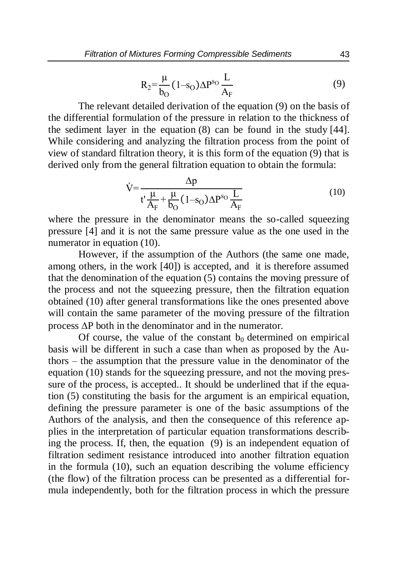$$
R_2 = \frac{\mu}{b_O} (1 - s_O) \Delta P^{s_O} \frac{L}{A_F}
$$
 (9)

The relevant detailed derivation of the equation (9) on the basis of the differential formulation of the pressure in relation to the thickness of the sediment layer in the equation (8) can be found in the study [44]. While considering and analyzing the filtration process from the point of view of standard filtration theory, it is this form of the equation (9) that is derived only from the general filtration equation to obtain the formula:

$$
\dot{V} = \frac{\Delta p}{t' \frac{\mu}{A_F} + \frac{\mu}{b_O} (1 - s_O) \Delta P^{s_O} \frac{L}{A_F}}
$$
(10)

where the pressure in the denominator means the so-called squeezing pressure [4] and it is not the same pressure value as the one used in the numerator in equation (10).

However, if the assumption of the Authors (the same one made, among others, in the work [40]) is accepted, and it is therefore assumed that the denomination of the equation (5) contains the moving pressure of the process and not the squeezing pressure, then the filtration equation obtained (10) after general transformations like the ones presented above will contain the same parameter of the moving pressure of the filtration process  $\Delta P$  both in the denominator and in the numerator.

Of course, the value of the constant  $b_0$  determined on empirical basis will be different in such a case than when as proposed by the Authors – the assumption that the pressure value in the denominator of the equation (10) stands for the squeezing pressure, and not the moving pressure of the process, is accepted.. It should be underlined that if the equation (5) constituting the basis for the argument is an empirical equation, defining the pressure parameter is one of the basic assumptions of the Authors of the analysis, and then the consequence of this reference applies in the interpretation of particular equation transformations describing the process. If, then, the equation (9) is an independent equation of filtration sediment resistance introduced into another filtration equation in the formula (10), such an equation describing the volume efficiency (the flow) of the filtration process can be presented as a differential formula independently, both for the filtration process in which the pressure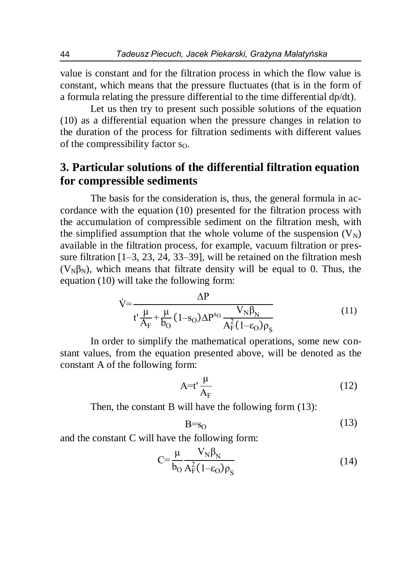value is constant and for the filtration process in which the flow value is constant, which means that the pressure fluctuates (that is in the form of a formula relating the pressure differential to the time differential dp/dt).

Let us then try to present such possible solutions of the equation (10) as a differential equation when the pressure changes in relation to the duration of the process for filtration sediments with different values of the compressibility factor  $s_0$ .

## **3. Particular solutions of the differential filtration equation for compressible sediments**

The basis for the consideration is, thus, the general formula in accordance with the equation (10) presented for the filtration process with the accumulation of compressible sediment on the filtration mesh, with the simplified assumption that the whole volume of the suspension  $(V_N)$ available in the filtration process, for example, vacuum filtration or pressure filtration [1–3, 23, 24, 33–39], will be retained on the filtration mesh ( $V_{N}\beta_{N}$ ), which means that filtrate density will be equal to 0. Thus, the equation (10) will take the following form:

$$
\dot{V} = \frac{\Delta P}{t' \frac{\mu}{A_F} + \frac{\mu}{b_O} (1 - s_O) \Delta P^{s_O} \frac{V_N \beta_N}{A_F^2 (1 - \epsilon_O) \rho_S}}
$$
(11)

In order to simplify the mathematical operations, some new constant values, from the equation presented above, will be denoted as the constant A of the following form:

$$
A=t'\frac{\mu}{A_F}
$$
 (12)

Then, the constant B will have the following form  $(13)$ :

$$
B = s_0 \tag{13}
$$

and the constant C will have the following form:

$$
C = \frac{\mu}{b_O} \frac{V_N \beta_N}{A_F^2 (1 - \varepsilon_O) \rho_S}
$$
(14)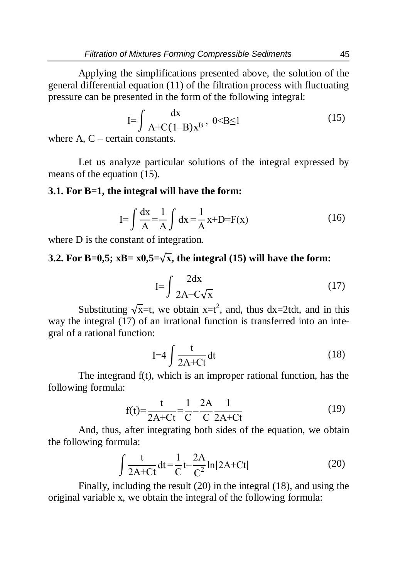Applying the simplifications presented above, the solution of the general differential equation (11) of the filtration process with fluctuating pressure can be presented in the form of the following integral:

$$
I = \int \frac{dx}{A + C(1 - B)x^{B}}, \quad 0 < B \le 1
$$
 (15)

where  $A, C$  – certain constants.

Let us analyze particular solutions of the integral expressed by means of the equation (15).

#### **3.1. For B=1, the integral will have the form:**

$$
I = \int \frac{dx}{A} = \frac{1}{A} \int dx = \frac{1}{A} x + D = F(x)
$$
 (16)

where D is the constant of integration.

### **3.2. For B=0,5; xB=**  $x0,5=\sqrt{x}$ **, the integral (15) will have the form:**

$$
I = \int \frac{2dx}{2A + C\sqrt{x}}\tag{17}
$$

Substituting  $\sqrt{x}$ =t, we obtain  $x=t^2$ , and, thus dx=2tdt, and in this way the integral (17) of an irrational function is transferred into an integral of a rational function:

$$
I=4\int \frac{t}{2A+Ct}dt
$$
 (18)

The integrand f(t), which is an improper rational function, has the following formula:

$$
f(t) = \frac{t}{2A + Ct} = \frac{1}{C} - \frac{2A}{C} \frac{1}{2A + Ct}
$$
 (19)

And, thus, after integrating both sides of the equation, we obtain the following formula:

$$
\int \frac{t}{2A+Ct} dt = \frac{1}{C} t - \frac{2A}{C^2} \ln|2A+Ct|
$$
 (20)

Finally, including the result (20) in the integral (18), and using the original variable x, we obtain the integral of the following formula: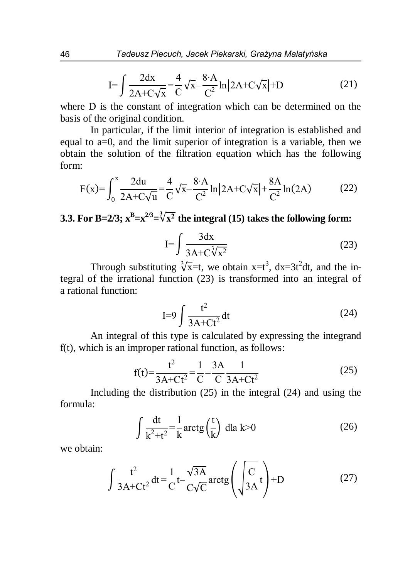$$
I = \int \frac{2dx}{2A + C\sqrt{x}} = \frac{4}{C} \sqrt{x} - \frac{8 \cdot A}{C^2} \ln |2A + C\sqrt{x}| + D
$$
 (21)

where D is the constant of integration which can be determined on the basis of the original condition.

In particular, if the limit interior of integration is established and equal to a=0, and the limit superior of integration is a variable, then we obtain the solution of the filtration equation which has the following form:

$$
F(x) = \int_0^x \frac{2du}{2A + C\sqrt{u}} = \frac{4}{C}\sqrt{x} - \frac{8 \cdot A}{C^2} \ln |2A + C\sqrt{x}| + \frac{8A}{C^2} \ln(2A)
$$
 (22)

**3.3.** For B=2/3;  $x^B = x^{2/3} = \sqrt[3]{x^2}$  the integral (15) takes the following form:

$$
I = \int \frac{3dx}{3A + C\sqrt[3]{x^2}}\tag{23}
$$

Through substituting  $\sqrt[3]{x}$ =t, we obtain x=t<sup>3</sup>, dx=3t<sup>2</sup>dt, and the integral of the irrational function (23) is transformed into an integral of a rational function:

$$
I=9\int \frac{t^2}{3A+Ct^2}dt
$$
 (24)

An integral of this type is calculated by expressing the integrand f(t), which is an improper rational function, as follows:

$$
f(t) = \frac{t^2}{3A + Ct^2} = \frac{1}{C} - \frac{3A}{C} \frac{1}{3A + Ct^2}
$$
 (25)

Including the distribution (25) in the integral (24) and using the formula:

$$
\int \frac{dt}{k^2 + t^2} = \frac{1}{k} \arctg\left(\frac{t}{k}\right) \, \mathrm{d}l \, \mathrm{a} \, k > 0 \tag{26}
$$

we obtain:

$$
\int \frac{t^2}{3A+Ct^2} dt = \frac{1}{C} t - \frac{\sqrt{3A}}{C\sqrt{C}} \arctg\left(\sqrt{\frac{C}{3A}}t\right) + D
$$
 (27)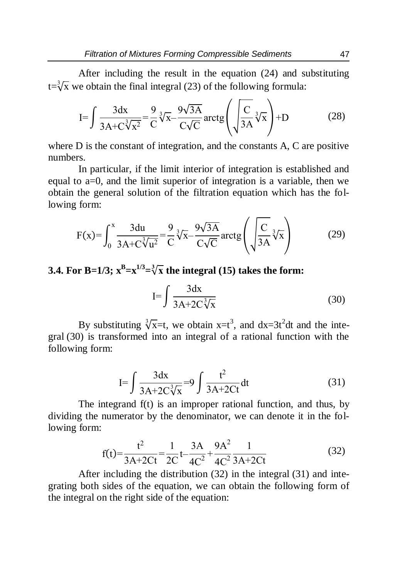After including the result in the equation (24) and substituting  $t = \sqrt[3]{x}$  we obtain the final integral (23) of the following formula:

$$
I = \int \frac{3dx}{3A + C\sqrt[3]{x^2}} = \frac{9}{C}\sqrt[3]{x} - \frac{9\sqrt{3A}}{C\sqrt{C}} \operatorname{arctg}\left(\sqrt{\frac{C}{3A}}\sqrt[3]{x}\right) + D \tag{28}
$$

where D is the constant of integration, and the constants A, C are positive numbers.

In particular, if the limit interior of integration is established and equal to a=0, and the limit superior of integration is a variable, then we obtain the general solution of the filtration equation which has the following form:

$$
F(x) = \int_0^x \frac{3du}{3A + C\sqrt[3]{u^2}} = \frac{9}{C}\sqrt[3]{x} - \frac{9\sqrt{3A}}{C\sqrt{C}} \operatorname{arctg}\left(\sqrt{\frac{C}{3A}}\sqrt[3]{x}\right) \tag{29}
$$

## **3.4.** For B=1/3;  $x^B = x^{1/3} = \sqrt[3]{x}$  the integral (15) takes the form:

$$
I = \int \frac{3dx}{3A + 2C\sqrt[3]{x}}
$$
 (30)

By substituting  $\sqrt[3]{x}$ =t, we obtain x=t<sup>3</sup>, and dx=3t<sup>2</sup>dt and the integral (30) is transformed into an integral of a rational function with the following form:

$$
I = \int \frac{3dx}{3A + 2C\sqrt[3]{x}} = 9 \int \frac{t^2}{3A + 2Ct} dt
$$
 (31)

The integrand f(t) is an improper rational function, and thus, by dividing the numerator by the denominator, we can denote it in the following form:

$$
f(t) = \frac{t^2}{3A + 2Ct} = \frac{1}{2C}t - \frac{3A}{4C^2} + \frac{9A^2}{4C^2}\frac{1}{3A + 2Ct}
$$
(32)

After including the distribution (32) in the integral (31) and integrating both sides of the equation, we can obtain the following form of the integral on the right side of the equation: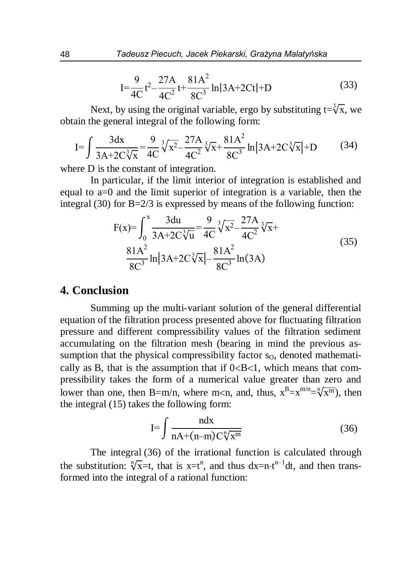$$
I = \frac{9}{4C}t^2 - \frac{27A}{4C^2}t + \frac{81A^2}{8C^3} \ln|3A + 2Ct| + D
$$
 (33)

Next, by using the original variable, ergo by substituting  $t = \sqrt[3]{x}$ , we obtain the general integral of the following form:

$$
I = \int \frac{3dx}{3A + 2C\sqrt[3]{x}} = \frac{9}{4C} \sqrt[3]{x^2} - \frac{27A}{4C^2} \sqrt[3]{x} + \frac{81A^2}{8C^3} \ln |3A + 2C\sqrt[3]{x}| + D
$$
 (34)

where D is the constant of integration.

In particular, if the limit interior of integration is established and equal to a=0 and the limit superior of integration is a variable, then the integral (30) for  $B = 2/3$  is expressed by means of the following function:

$$
F(x) = \int_0^x \frac{3du}{3A + 2C\sqrt[3]{u}} = \frac{9}{4C} \sqrt[3]{x^2} - \frac{27A}{4C^2} \sqrt[3]{x} + \frac{81A^2}{8C^3} \ln |3A + 2C\sqrt[3]{x}| - \frac{81A^2}{8C^3} \ln (3A)
$$
\n(35)

#### **4. Conclusion**

Summing up the multi-variant solution of the general differential equation of the filtration process presented above for fluctuating filtration pressure and different compressibility values of the filtration sediment accumulating on the filtration mesh (bearing in mind the previous assumption that the physical compressibility factor  $s<sub>0</sub>$ , denoted mathematically as B, that is the assumption that if  $0 < B < 1$ , which means that compressibility takes the form of a numerical value greater than zero and lower than one, then B=m/n, where m<n, and, thus,  $x^B = x^{m/n} = \sqrt[n]{x^m}$ , then the integral (15) takes the following form:

$$
I = \int \frac{ndx}{nA + (n-m)C\sqrt[n]{x^m}}
$$
 (36)

The integral (36) of the irrational function is calculated through the substitution:  $\sqrt[n]{x}$ =t, that is x=t<sup>n</sup>, and thus dx=n·t<sup>n-1</sup>dt, and then transformed into the integral of a rational function: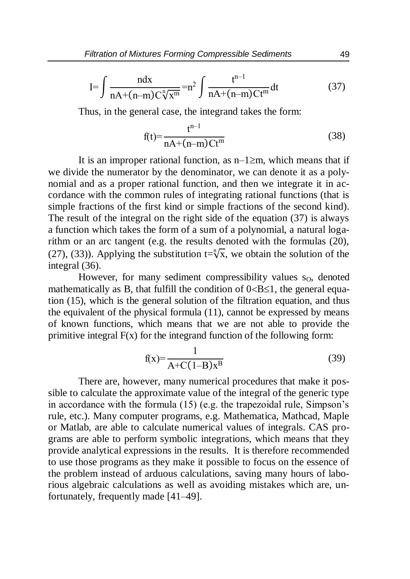$$
I = \int \frac{ndx}{nA + (n-m)C\sqrt[n]{x^m}} = n^2 \int \frac{t^{n-1}}{nA + (n-m)Ct^m} dt
$$
 (37)

Thus, in the general case, the integrand takes the form:

$$
f(t) = \frac{t^{n-1}}{nA + (n-m)Ct^m}
$$
 (38)

It is an improper rational function, as  $n-1 \ge m$ , which means that if we divide the numerator by the denominator, we can denote it as a polynomial and as a proper rational function, and then we integrate it in accordance with the common rules of integrating rational functions (that is simple fractions of the first kind or simple fractions of the second kind). The result of the integral on the right side of the equation (37) is always a function which takes the form of a sum of a polynomial, a natural logarithm or an arc tangent (e.g. the results denoted with the formulas (20), (27), (33)). Applying the substitution  $t = \sqrt[n]{x}$ , we obtain the solution of the integral (36).

However, for many sediment compressibility values  $s<sub>0</sub>$ , denoted mathematically as B, that fulfill the condition of  $0 < B \le 1$ , the general equation (15), which is the general solution of the filtration equation, and thus the equivalent of the physical formula (11), cannot be expressed by means of known functions, which means that we are not able to provide the primitive integral  $F(x)$  for the integrand function of the following form:

$$
f(x) = \frac{1}{A + C(1 - B)x^{B}}
$$
 (39)

There are, however, many numerical procedures that make it possible to calculate the approximate value of the integral of the generic type in accordance with the formula (15) (e.g. the trapezoidal rule, Simpson's rule, etc.). Many computer programs, e.g. Mathematica, Mathcad, Maple or Matlab, are able to calculate numerical values of integrals. CAS programs are able to perform symbolic integrations, which means that they provide analytical expressions in the results. It is therefore recommended to use those programs as they make it possible to focus on the essence of the problem instead of arduous calculations, saving many hours of laborious algebraic calculations as well as avoiding mistakes which are, unfortunately, frequently made [41–49].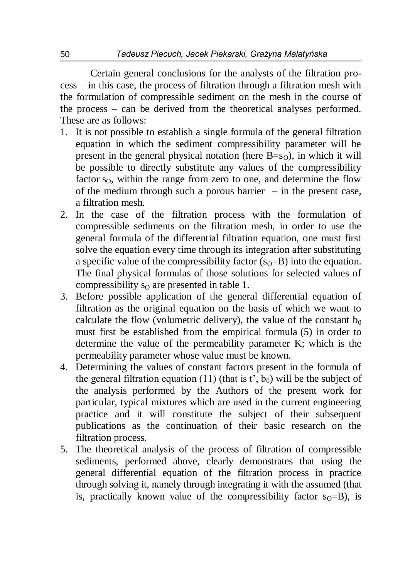Certain general conclusions for the analysts of the filtration process – in this case, the process of filtration through a filtration mesh with the formulation of compressible sediment on the mesh in the course of the process – can be derived from the theoretical analyses performed. These are as follows:

- 1. It is not possible to establish a single formula of the general filtration equation in which the sediment compressibility parameter will be present in the general physical notation (here  $B=s<sub>O</sub>$ ), in which it will be possible to directly substitute any values of the compressibility factor  $s_0$ , within the range from zero to one, and determine the flow of the medium through such a porous barrier  $-$  in the present case, a filtration mesh.
- 2. In the case of the filtration process with the formulation of compressible sediments on the filtration mesh, in order to use the general formula of the differential filtration equation, one must first solve the equation every time through its integration after substituting a specific value of the compressibility factor  $(s_0 = B)$  into the equation. The final physical formulas of those solutions for selected values of compressibility  $s_0$  are presented in table 1.
- 3. Before possible application of the general differential equation of filtration as the original equation on the basis of which we want to calculate the flow (volumetric delivery), the value of the constant  $b_0$ must first be established from the empirical formula (5) in order to determine the value of the permeability parameter K; which is the permeability parameter whose value must be known.
- 4. Determining the values of constant factors present in the formula of the general filtration equation (11) (that is t',  $b_0$ ) will be the subject of the analysis performed by the Authors of the present work for particular, typical mixtures which are used in the current engineering practice and it will constitute the subject of their subsequent publications as the continuation of their basic research on the filtration process.
- 5. The theoretical analysis of the process of filtration of compressible sediments, performed above, clearly demonstrates that using the general differential equation of the filtration process in practice through solving it, namely through integrating it with the assumed (that is, practically known value of the compressibility factor  $s_0 = B$ ), is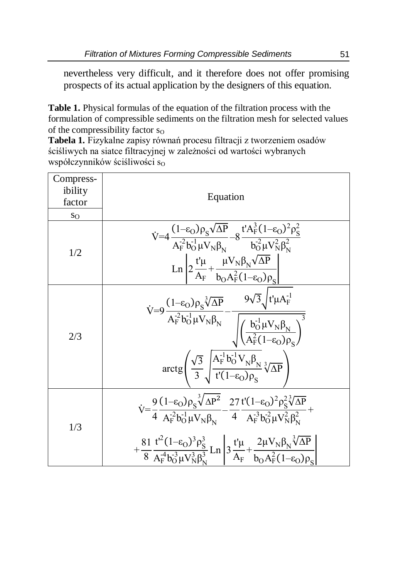nevertheless very difficult, and it therefore does not offer promising prospects of its actual application by the designers of this equation.

**Table 1.** Physical formulas of the equation of the filtration process with the formulation of compressible sediments on the filtration mesh for selected values of the compressibility factor  $s_0$ 

**Tabela 1.** Fizykalne zapisy równań procesu filtracji z tworzeniem osadów ściśliwych na siatce filtracyjnej w zależności od wartości wybranych współczynników ściśliwości so

| Compress-<br>ibility<br>factor | Equation                                                                                                                                                                                                                                                                                                                                                                                                                                |
|--------------------------------|-----------------------------------------------------------------------------------------------------------------------------------------------------------------------------------------------------------------------------------------------------------------------------------------------------------------------------------------------------------------------------------------------------------------------------------------|
| $S_{\rm O}$                    |                                                                                                                                                                                                                                                                                                                                                                                                                                         |
| 1/2                            | $\dot{V} = 4 \frac{(1-\epsilon_{\rm O})\rho_{\rm S} \sqrt{\Delta P}}{A_{\rm F}^{-2} b_{\rm O}^{-1} \mu V_{\rm N} \beta_{\rm N}} - 8 \frac{t' A_{\rm F}^{3} (1-\epsilon_{\rm O})^{2} \rho_{\rm S}^{2}}{b_{\rm O}^{-2} \mu V_{\rm N}^{2} \beta_{\rm N}^{2}}$<br>$\ln \left  2 \frac{t' \mu}{A_F} + \frac{\mu V_N \beta_N \sqrt{\Delta P}}{b_0 A_F^2 (1 - \epsilon_0) \rho_s} \right $                                                     |
| 2/3                            | $\dot{V}=9\frac{(1-\epsilon_O)\rho_S\sqrt[3]{\Delta P}}{A_F^{-2}b_O^{-1}\mu V_N\beta_N}-\frac{9\sqrt{3}\sqrt{t'\mu A_F^{-1}}}{\sqrt{\left(\frac{b_O^{-1}\mu V_N\beta_N}{A_F^{-1}(1-\epsilon_O)\rho_s}\right)^3}}$<br>$\arctg\left(\frac{\sqrt{3}}{3}\sqrt{\frac{A_F^{-1}b_O^{-1}V_N\beta_N}{t'(1-\epsilon_O)\rho_c}}\sqrt[3]{\Delta P}\right)$                                                                                          |
| 1/3                            | $\dot{V} = \frac{9}{4} \frac{(1-\epsilon_0)\rho_s \sqrt[3]{\Delta P^2}}{A_E^{-2} b_O^{-1} u V_N \beta_v} - \frac{27}{4} \frac{t'(1-\epsilon_0)^2 \rho_s^2 \sqrt[3]{\Delta P}}{A_E^{-3} b_O^{-2} u V_N^2 \beta_v^2} +$<br>$+\frac{81}{8} \frac{t'^2 (1-\epsilon_0)^3 \rho_S^3}{A_F^4 b_0^3 \mu V_N^3 \beta_N^3} \text{Ln}\left 3 \frac{t' \mu}{A_F}+\frac{2 \mu V_N \beta_N \sqrt[3]{\Delta P}}{b_0 A_F^2 (1-\epsilon_0) \rho_S}\right $ |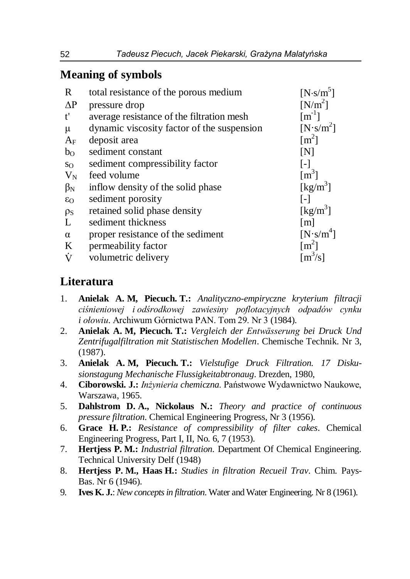## **Meaning of symbols**

| $\mathbf R$    | total resistance of the porous medium      | $[N\cdot s/m^5]$               |
|----------------|--------------------------------------------|--------------------------------|
| $\Delta P$     | pressure drop                              | $[N/m^2]$                      |
| t'             | average resistance of the filtration mesh  | $\lceil m^{-1} \rceil$         |
| $\mu$          | dynamic viscosity factor of the suspension | $[N\cdot s/m^2]$               |
| $A_{\rm F}$    | deposit area                               | $\lceil m^2 \rceil$            |
| b <sub>O</sub> | sediment constant                          | [N]                            |
| $S_{\rm O}$    | sediment compressibility factor            | $\lceil - \rceil$              |
| $V_N$          | feed volume                                | $\lceil m^3 \rceil$            |
| $\beta_N$      | inflow density of the solid phase          | $\left[\mathrm{kg/m}^3\right]$ |
| $\epsilon_0$   | sediment porosity                          | $\lceil - \rceil$              |
| $\rho_S$       | retained solid phase density               | $\left[\text{kg/m}^3\right]$   |
| L              | sediment thickness                         | $\lceil m \rceil$              |
| $\alpha$       | proper resistance of the sediment          | $[N\cdot s/m^4]$               |
| K              | permeability factor                        | $\lceil m^2 \rceil$            |
| Ÿ              | volumetric delivery                        | $\lceil m^3/s \rceil$          |

## **Literatura**

- 1. **Anielak A. M, Piecuch. T.:** *Analityczno-empiryczne kryterium filtracji ciśnieniowej i odśrodkowej zawiesiny poflotacyjnych odpadów cynku i ołowiu*. Archiwum Górnictwa PAN. Tom 29. Nr 3 (1984).
- 2. **Anielak A. M, Piecuch. T.:** *Vergleich der Entwässerung bei Druck Und Zentrifugalfiltration mit Statistischen Modellen*. Chemische Technik. Nr 3, (1987).
- 3. **Anielak A. M, Piecuch. T.:** *Vielstufige Druck Filtration. 17 Diskusionstagung Mechanische Flussigkeitabtronaug*. Drezden, 1980,
- 4. **Ciborowski. J.:** *Inżynieria chemiczna*. Państwowe Wydawnictwo Naukowe, Warszawa, 1965.
- 5. **Dahlstrom D. A., Nickolaus N.:** *Theory and practice of continuous pressure filtration*. Chemical Engineering Progress, Nr 3 (1956).
- 6. **Grace H. P.:** *Resistance of compressibility of filter cakes*. Chemical Engineering Progress, Part I, II, No. 6, 7 (1953).
- 7. **Hertjess P. M.:** *Industrial filtration.* Department Of Chemical Engineering. Technical University Delf (1948)
- 8. **Hertjess P. M., Haas H.:** *Studies in filtration Recueil Trav*. Chim. Pays-Bas. Nr 6 (1946).
- 9. **Ives K. J.**: *New concepts in filtration*. Water and Water Engineering. Nr 8 (1961).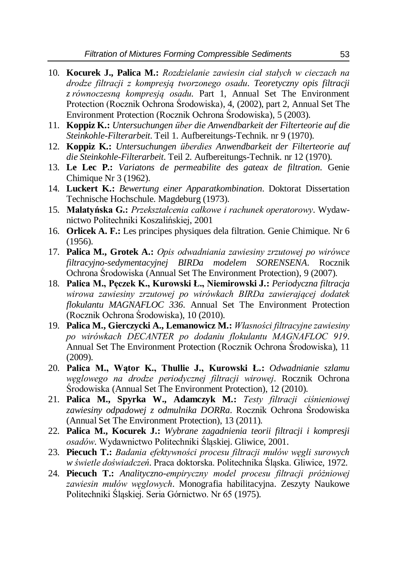- 10. **Kocurek J., Palica M.:** *Rozdzielanie zawiesin ciał stałych w cieczach na drodze filtracji z kompresją tworzonego osadu*. *Teoretyczny opis filtracji z równoczesną kompresją osadu*. Part 1, Annual Set The Environment Protection (Rocznik Ochrona Środowiska), 4, (2002), part 2, Annual Set The Environment Protection (Rocznik Ochrona Środowiska), 5 (2003).
- 11. **Koppiz K.:** *Untersuchungen über die Anwendbarkeit der Filterteorie auf die Steinkohle-Filterarbeit*. Teil 1. Aufbereitungs-Technik. nr 9 (1970).
- 12. **Koppiz K.:** *Untersuchungen überdies Anwendbarkeit der Filterteorie auf die Steinkohle-Filterarbeit*. Teil 2. Aufbereitungs-Technik. nr 12 (1970).
- 13. **Le Lec P.:** *Variatons de permeabilite des gateax de filtration*. Genie Chimique Nr 3 (1962).
- 14. **Luckert K.:** *Bewertung einer Apparatkombination*. Doktorat Dissertation Technische Hochschule. Magdeburg (1973).
- 15. **Malatyńska G.:** *Przekształcenia całkowe i rachunek operatorowy*. Wydawnictwo Politechniki Koszalińskiej, 2001
- 16. **Orlicek A. F.:** Les principes physiques dela filtration. Genie Chimique. Nr 6 (1956).
- 17. **Palica M., Grotek A.:** *Opis odwadniania zawiesiny zrzutowej po wirówce filtracyjno-sedymentacyjnej BIRDa modelem SORENSENA*. Rocznik Ochrona Środowiska (Annual Set The Environment Protection), 9 (2007).
- 18. **Palica M., Pęczek K., Kurowski Ł., Niemirowski J.:** *Periodyczna filtracja wirowa zawiesiny zrzutowej po wirówkach BIRDa zawierającej dodatek flokulantu MAGNAFLOC 336*. Annual Set The Environment Protection (Rocznik Ochrona Środowiska), 10 (2010).
- 19. **Palica M., Gierczycki A., Lemanowicz M.:** *Własności filtracyjne zawiesiny po wirówkach DECANTER po dodaniu flokulantu MAGNAFLOC 919*. Annual Set The Environment Protection (Rocznik Ochrona Środowiska), 11 (2009).
- 20. **Palica M., Wątor K., Thullie J., Kurowski Ł.:** *Odwadnianie szlamu węglowego na drodze periodycznej filtracji wirowej*. Rocznik Ochrona Środowiska (Annual Set The Environment Protection), 12 (2010).
- 21. **Palica M., Spyrka W., Adamczyk M.:** *Testy filtracji ciśnieniowej zawiesiny odpadowej z odmulnika DORRa*. Rocznik Ochrona Środowiska (Annual Set The Environment Protection), 13 (2011).
- 22. **Palica M., Kocurek J.:** *Wybrane zagadnienia teorii filtracji i kompresji osadów*. Wydawnictwo Politechniki Śląskiej. Gliwice, 2001.
- 23. **Piecuch T.:** *Badania efektywności procesu filtracji mułów węgli surowych w świetle doświadczeń*. Praca doktorska. Politechnika Śląska. Gliwice, 1972.
- 24. **Piecuch T.:** *Analityczno-empiryczny model procesu filtracji próżniowej zawiesin mułów węglowych*. Monografia habilitacyjna. Zeszyty Naukowe Politechniki Śląskiej. Seria Górnictwo. Nr 65 (1975).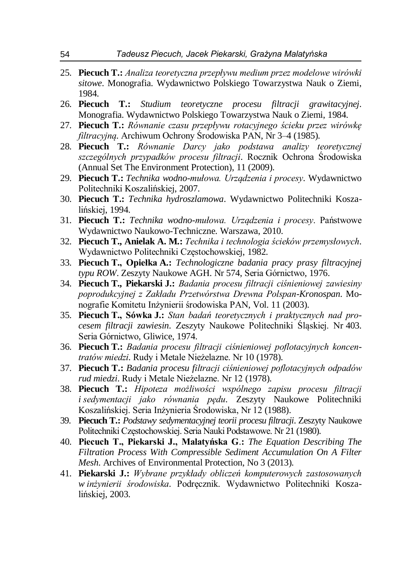- 25. **Piecuch T.:** *Analiza teoretyczna przepływu medium przez modelowe wirówki sitowe*. Monografia. Wydawnictwo Polskiego Towarzystwa Nauk o Ziemi, 1984.
- 26. **Piecuch T.:** *Studium teoretyczne procesu filtracji grawitacyjnej*. Monografia. Wydawnictwo Polskiego Towarzystwa Nauk o Ziemi, 1984.
- 27. **Piecuch T.:** *Równanie czasu przepływu rotacyjnego ścieku przez wirówkę filtracyjną*. Archiwum Ochrony Środowiska PAN, Nr 3–4 (1985).
- 28. **Piecuch T.:** *Równanie Darcy jako podstawa analizy teoretycznej szczególnych przypadków procesu filtracji*. Rocznik Ochrona Środowiska (Annual Set The Environment Protection), 11 (2009).
- 29. **Piecuch T.:** *Technika wodno-mułowa. Urządzenia i procesy*. Wydawnictwo Politechniki Koszalińskiej, 2007.
- 30. **Piecuch T.:** *Technika hydroszlamowa*. Wydawnictwo Politechniki Koszalińskiej, 1994.
- 31. **Piecuch T.:** *Technika wodno-mułowa. Urządzenia i procesy*. Państwowe Wydawnictwo Naukowo-Techniczne. Warszawa, 2010.
- 32. **Piecuch T., Anielak A. M.:** *Technika i technologia ścieków przemysłowych*. Wydawnictwo Politechniki Częstochowskiej, 1982.
- 33. **Piecuch T., Opiełka A.:** *Technologiczne badania pracy prasy filtracyjnej typu ROW*. Zeszyty Naukowe AGH. Nr 574, Seria Górnictwo, 1976.
- 34. **Piecuch T., Piekarski J.:** *Badania procesu filtracji ciśnieniowej zawiesiny poprodukcyjnej z Zakładu Przetwórstwa Drewna Polspan-Kronospan*. Monografie Komitetu Inżynierii środowiska PAN, Vol. 11 (2003).
- 35. **Piecuch T., Sówka J.:** *Stan badań teoretycznych i praktycznych nad procesem filtracji zawiesin*. Zeszyty Naukowe Politechniki Śląskiej. Nr 403. Seria Górnictwo, Gliwice, 1974.
- 36. **Piecuch T.:** *Badania procesu filtracji ciśnieniowej poflotacyjnych koncentratów miedzi*. Rudy i Metale Nieżelazne. Nr 10 (1978).
- 37. **Piecuch T.:** *Badania procesu filtracji ciśnieniowej poflotacyjnych odpadów rud miedzi*. Rudy i Metale Nieżelazne. Nr 12 (1978).
- 38. **Piecuch T.:** *Hipoteza możliwości wspólnego zapisu procesu filtracji i sedymentacji jako równania pędu*. Zeszyty Naukowe Politechniki Koszalińskiej. Seria Inżynieria Środowiska, Nr 12 (1988).
- 39. **Piecuch T.:** *Podstawy sedymentacyjnej teorii procesu filtracji*. Zeszyty Naukowe Politechniki Częstochowskiej. Seria Nauki Podstawowe. Nr 21 (1980).
- 40. **Piecuch T., Piekarski J., Malatyńska G**.**:** *The Equation Describing The Filtration Process With Compressible Sediment Accumulation On A Filter Mesh*. Archives of Environmental Protection, No 3 (2013).
- 41. **Piekarski J.:** *Wybrane przykłady obliczeń komputerowych zastosowanych w inżynierii środowiska*. Podręcznik. Wydawnictwo Politechniki Koszalińskiej, 2003.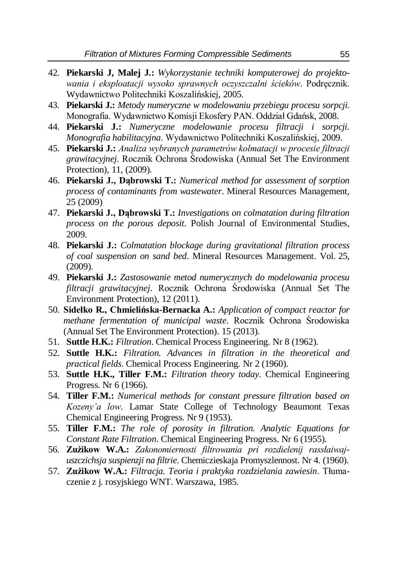- 42. **Piekarski J, Malej J.:** *Wykorzystanie techniki komputerowej do projektowania i eksploatacji wysoko sprawnych oczyszczalni ścieków*. Podręcznik. Wydawnictwo Politechniki Koszalińskiej, 2005.
- 43. **Piekarski J.:** *Metody numeryczne w modelowaniu przebiegu procesu sorpcji*. Monografia. Wydawnictwo Komisji Ekosfery PAN. Oddział Gdańsk, 2008.
- 44. **Piekarski J.:** *Numeryczne modelowanie procesu filtracji i sorpcji. Monografia habilitacyjna*. Wydawnictwo Politechniki Koszalińskiej, 2009.
- 45. **Piekarski J.:** *Analiza wybranych parametrów kolmatacji w procesie filtracji grawitacyjnej*. Rocznik Ochrona Środowiska (Annual Set The Environment Protection), 11, (2009).
- 46. **Piekarski J., Dąbrowski T.:** *Numerical method for assessment of sorption process of contaminants from wastewater*. Mineral Resources Management, 25 (2009)
- 47. **Piekarski J., Dąbrowski T.:** *Investigations on colmatation during filtration process on the porous deposit*. Polish Journal of Environmental Studies, 2009.
- 48. **Piekarski J.:** *Colmatation blockage during gravitational filtration process of coal suspension on sand bed*. Mineral Resources Management. Vol. 25, (2009).
- 49. **Piekarski J.:** *Zastosowanie metod numerycznych do modelowania procesu filtracji grawitacyjnej*. Rocznik Ochrona Środowiska (Annual Set The Environment Protection), 12 (2011).
- 50. **Sidełko R., Chmielińska-Bernacka A.:** *Application of compact reactor for methane fermentation of municipal waste*. Rocznik Ochrona Środowiska (Annual Set The Environment Protection). 15 (2013).
- 51. **Suttle H.K.:** *Filtration*. Chemical Process Engineering. Nr 8 (1962).
- 52. **Suttle H.K.:** *Filtration. Advances in filtration in the theoretical and practical fields*. Chemical Process Engineering. Nr 2 (1960).
- 53. **Suttle H.K., Tiller F.M.:** *Filtration theory today*. Chemical Engineering Progress. Nr 6 (1966).
- 54. **Tiller F.M.:** *Numerical methods for constant pressure filtration based on Kozeny'a low*. Lamar State College of Technology Beaumont Texas Chemical Engineering Progress. Nr 9 (1953).
- 55. **Tiller F.M.:** *The role of porosity in filtration. Analytic Equations for Constant Rate Filtration*. Chemical Engineering Progress. Nr 6 (1955).
- 56. **Zużikow W.A.:** *Zakonomiernosti filtrowania pri rozdielenij rassłaiwajuszczichsja suspienzji na filtrie*. Chemiczieskaja Promyszlennost. Nr 4. (1960).
- 57. **Zużikow W.A.:** *Filtracja. Teoria i praktyka rozdzielania zawiesin*. Tłumaczenie z j. rosyjskiego WNT. Warszawa, 1985.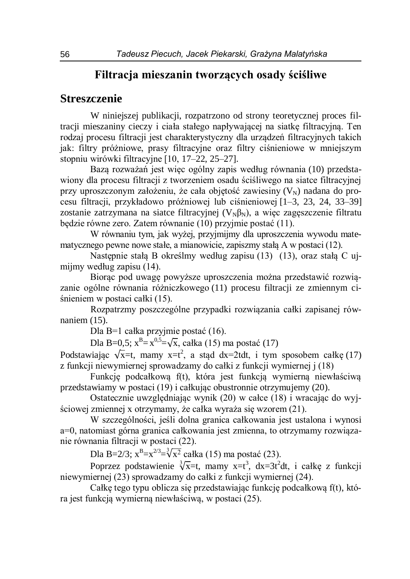### **Filtracja mieszanin tworzących osady ściśliwe**

#### **Streszczenie**

W niniejszej publikacji, rozpatrzono od strony teoretycznej proces filtracji mieszaniny cieczy i ciała stałego napływającej na siatkę filtracyjną. Ten rodzaj procesu filtracji jest charakterystyczny dla urządzeń filtracyjnych takich jak: filtry próżniowe, prasy filtracyjne oraz filtry ciśnieniowe w mniejszym stopniu wirówki filtracyjne [10, 17–22, 25–27].

Bazą rozważań jest więc ogólny zapis według równania (10) przedstawiony dla procesu filtracji z tworzeniem osadu ściśliwego na siatce filtracyjnej przy uproszczonym założeniu, że cała objętość zawiesiny  $(V<sub>N</sub>)$  nadana do procesu filtracji, przykładowo próżniowej lub ciśnieniowej [1–3, 23, 24, 33–39] zostanie zatrzymana na siatce filtracyjnej  $(V_{N}\beta_{N})$ , a więc zagęszczenie filtratu będzie równe zero. Zatem równanie (10) przyjmie postać (11).

W równaniu tym, jak wyżej, przyjmijmy dla uproszczenia wywodu matematycznego pewne nowe stałe, a mianowicie, zapiszmy stałą A w postaci (12).

Następnie stałą B określmy według zapisu (13) (13), oraz stałą C ujmijmy według zapisu (14).

Biorąc pod uwagę powyższe uproszczenia można przedstawić rozwiązanie ogólne równania różniczkowego (11) procesu filtracji ze zmiennym ciśnieniem w postaci całki (15).

Rozpatrzmy poszczególne przypadki rozwiązania całki zapisanej równaniem (15).

Dla B=1 całka przyjmie postać (16).

Dla B=0,5;  $x^B = x^{0.5} = \sqrt{x}$ , całka (15) ma postać (17)

Podstawiając  $\sqrt{x}$ =t, mamy x=t<sup>2</sup>, a stąd dx=2tdt, i tym sposobem całkę (17) z funkcji niewymiernej sprowadzamy do całki z funkcji wymiernej j (18)

Funkcję podcałkową f(t), która jest funkcją wymierną niewłaściwą przedstawiamy w postaci (19) i całkując obustronnie otrzymujemy (20).

Ostatecznie uwzględniając wynik (20) w całce (18) i wracając do wyjściowej zmiennej x otrzymamy, że całka wyraża się wzorem (21).

W szczególności, jeśli dolna granica całkowania jest ustalona i wynosi a=0, natomiast górna granica całkowania jest zmienna, to otrzymamy rozwiązanie równania filtracji w postaci (22).

Dla B=2/3;  $x^B=x^{2/3}=\sqrt[3]{x^2}$  całka (15) ma postać (23).

Poprzez podstawienie  $\sqrt[3]{x}$ =t, mamy x=t<sup>3</sup>, dx=3t<sup>2</sup>dt, i całkę z funkcji niewymiernej (23) sprowadzamy do całki z funkcji wymiernej (24).

Całkę tego typu oblicza się przedstawiając funkcję podcałkową f(t), która jest funkcją wymierną niewłaściwą, w postaci (25).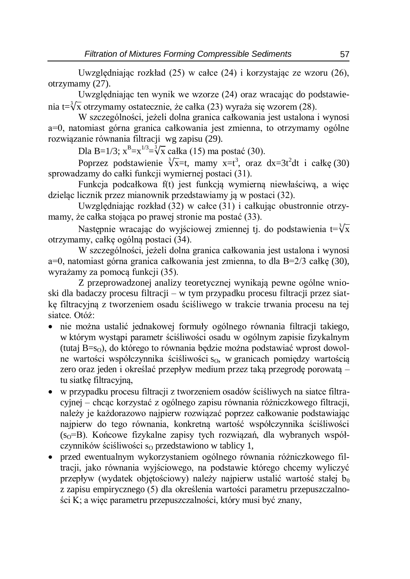Uwzględniając rozkład (25) w całce (24) i korzystając ze wzoru (26), otrzymamy (27).

Uwzględniając ten wynik we wzorze (24) oraz wracając do podstawienia t= $\sqrt[3]{x}$  otrzymamy ostatecznie, że całka (23) wyraża się wzorem (28).

W szczególności, jeżeli dolna granica całkowania jest ustalona i wynosi a=0, natomiast górna granica całkowania jest zmienna, to otrzymamy ogólne rozwiązanie równania filtracji wg zapisu (29).

Dla B=1/3;  $x^B=x^{1/3}=\sqrt[3]{x}$  całka (15) ma postać (30).

Poprzez podstawienie  $\sqrt[3]{x}$ =t, mamy x=t<sup>3</sup>, oraz dx=3t<sup>2</sup>dt i całkę (30) sprowadzamy do całki funkcji wymiernej postaci (31).

Funkcja podcałkowa f(t) jest funkcją wymierną niewłaściwą, a więc dzieląc licznik przez mianownik przedstawiamy ją w postaci (32).

Uwzględniając rozkład (32) w całce (31) i całkując obustronnie otrzymamy, że całka stojąca po prawej stronie ma postać (33).

Następnie wracając do wyjściowej zmiennej tj. do podstawienia t= $\sqrt[3]{\mathrm{x}}$ otrzymamy, całkę ogólną postaci (34).

W szczególności, jeżeli dolna granica całkowania jest ustalona i wynosi a=0, natomiast górna granica całkowania jest zmienna, to dla B=2/3 całkę (30), wyrażamy za pomocą funkcji (35).

Z przeprowadzonej analizy teoretycznej wynikają pewne ogólne wnioski dla badaczy procesu filtracji – w tym przypadku procesu filtracji przez siatkę filtracyjną z tworzeniem osadu ściśliwego w trakcie trwania procesu na tej siatce. Otóż:

- nie można ustalić jednakowej formuły ogólnego równania filtracji takiego, w którym wystąpi parametr ściśliwości osadu w ogólnym zapisie fizykalnym (tutaj  $B=s<sub>0</sub>$ ), do którego to równania będzie można podstawiać wprost dowolne wartości współczynnika ściśliwości s<sub>0</sub>, w granicach pomiędzy wartością zero oraz jeden i określać przepływ medium przez taką przegrodę porowatą – tu siatkę filtracyjną,
- w przypadku procesu filtracji z tworzeniem osadów ściśliwych na siatce filtracyjnej – chcąc korzystać z ogólnego zapisu równania różniczkowego filtracji, należy je każdorazowo najpierw rozwiązać poprzez całkowanie podstawiając najpierw do tego równania, konkretną wartość współczynnika ściśliwości  $(s<sub>0</sub>=B)$ . Końcowe fizykalne zapisy tych rozwiązań, dla wybranych współczynników ściśliwości s<sub>O</sub> przedstawiono w tablicy 1,
- przed ewentualnym wykorzystaniem ogólnego równania różniczkowego filtracji, jako równania wyjściowego, na podstawie którego chcemy wyliczyć przepływ (wydatek objętościowy) należy najpierw ustalić wartość stałej b<sub>0</sub> z zapisu empirycznego (5) dla określenia wartości parametru przepuszczalności K; a więc parametru przepuszczalności, który musi być znany,